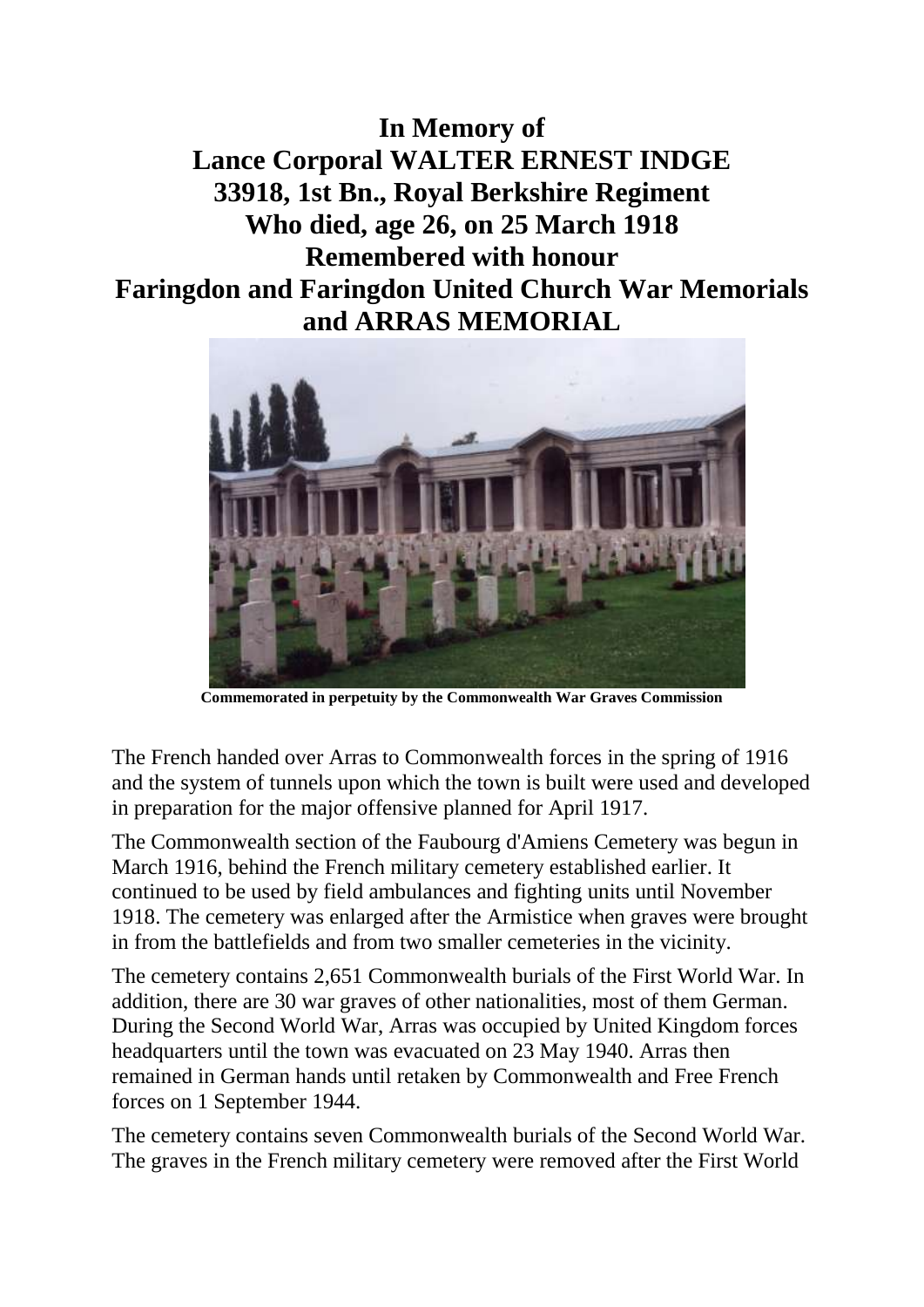**In Memory of Lance Corporal WALTER ERNEST INDGE 33918, 1st Bn., Royal Berkshire Regiment Who died, age 26, on 25 March 1918 Remembered with honour Faringdon and Faringdon United Church War Memorials and ARRAS MEMORIAL**



**Commemorated in perpetuity by the Commonwealth War Graves Commission**

The French handed over Arras to Commonwealth forces in the spring of 1916 and the system of tunnels upon which the town is built were used and developed in preparation for the major offensive planned for April 1917.

The Commonwealth section of the Faubourg d'Amiens Cemetery was begun in March 1916, behind the French military cemetery established earlier. It continued to be used by field ambulances and fighting units until November 1918. The cemetery was enlarged after the Armistice when graves were brought in from the battlefields and from two smaller cemeteries in the vicinity.

The cemetery contains 2,651 Commonwealth burials of the First World War. In addition, there are 30 war graves of other nationalities, most of them German. During the Second World War, Arras was occupied by United Kingdom forces headquarters until the town was evacuated on 23 May 1940. Arras then remained in German hands until retaken by Commonwealth and Free French forces on 1 September 1944.

The cemetery contains seven Commonwealth burials of the Second World War. The graves in the French military cemetery were removed after the First World